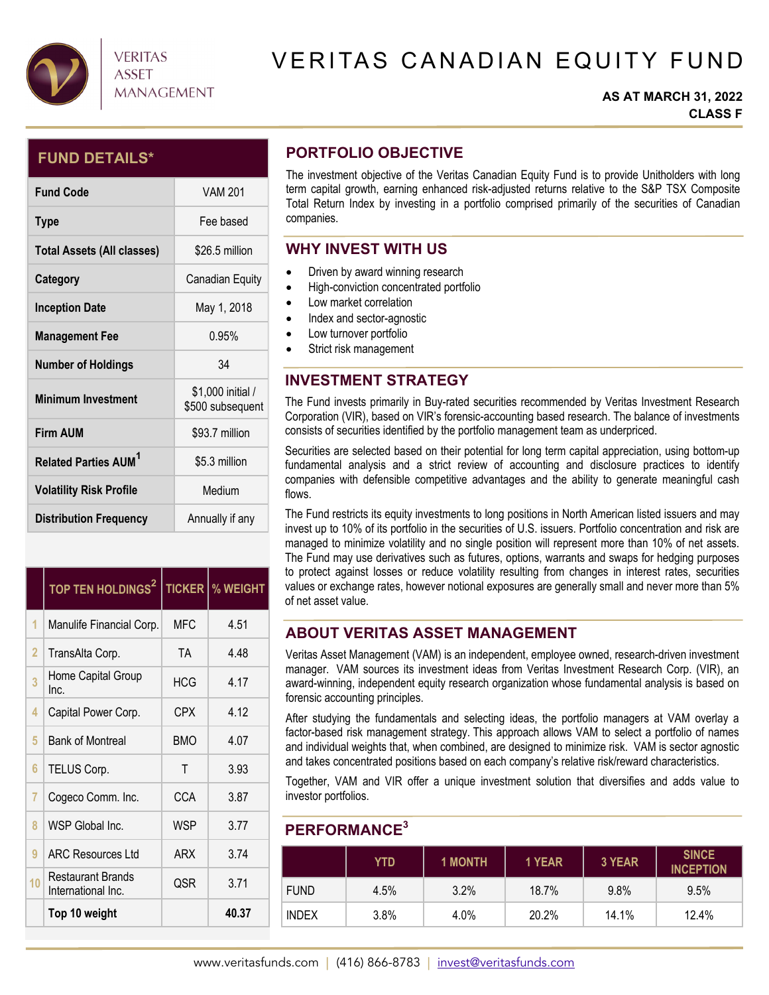

# VERITAS CANADIAN EQUITY FUND

### **AS AT MARCH 31, 2022 CLASS F**

## **FUND DETAILS\***

| <b>Fund Code</b>                       | <b>VAM 201</b>                        |
|----------------------------------------|---------------------------------------|
| <b>Type</b>                            | Fee based                             |
| <b>Total Assets (All classes)</b>      | \$26.5 million                        |
| Category                               | Canadian Equity                       |
| <b>Inception Date</b>                  | May 1, 2018                           |
| <b>Management Fee</b>                  | 0.95%                                 |
| <b>Number of Holdings</b>              | 34                                    |
| <b>Minimum Investment</b>              | \$1,000 initial /<br>\$500 subsequent |
| <b>Firm AUM</b>                        | \$93.7 million                        |
| <b>Related Parties AUM<sup>1</sup></b> | \$5.3 million                         |
| <b>Volatility Risk Profile</b>         | Medium                                |
| <b>Distribution Frequency</b>          | Annually if any                       |

|                | TOP TEN HOLDINGS <sup>2</sup>                  |            | <b>TICKER   % WEIGHT</b> |
|----------------|------------------------------------------------|------------|--------------------------|
| 1              | Manulife Financial Corp.                       | MFC        | 4.51                     |
| $\overline{2}$ | TransAlta Corp.                                | TA         | 4.48                     |
| 3              | Home Capital Group<br>Inc.                     | <b>HCG</b> | 4.17                     |
| 4              | Capital Power Corp.                            | <b>CPX</b> | 4.12                     |
| 5              | <b>Bank of Montreal</b>                        | <b>BMO</b> | 4.07                     |
| 6              | TELUS Corp.                                    | T          | 3.93                     |
| 7              | Cogeco Comm. Inc.                              | CCA        | 3.87                     |
| ጸ              | WSP Global Inc.                                | <b>WSP</b> | 3.77                     |
| 9              | <b>ARC Resources Ltd</b>                       | <b>ARX</b> | 3.74                     |
| 10             | <b>Restaurant Brands</b><br>International Inc. | QSR        | 3.71                     |
|                | Top 10 weight                                  |            | 40.37                    |

## **PORTFOLIO OBJECTIVE**

The investment objective of the Veritas Canadian Equity Fund is to provide Unitholders with long term capital growth, earning enhanced risk-adjusted returns relative to the S&P TSX Composite Total Return Index by investing in a portfolio comprised primarily of the securities of Canadian companies.

## **WHY INVEST WITH US**

- Driven by award winning research
- $\bullet$  High-conviction concentrated portfolio
- Low market correlation
- Index and sector-agnostic
- Low turnover portfolio
- Strict risk management

## **INVESTMENT STRATEGY**

The Fund invests primarily in Buy-rated securities recommended by Veritas Investment Research Corporation (VIR), based on VIR's forensic-accounting based research. The balance of investments consists of securities identified by the portfolio management team as underpriced.

Securities are selected based on their potential for long term capital appreciation, using bottom-up fundamental analysis and a strict review of accounting and disclosure practices to identify companies with defensible competitive advantages and the ability to generate meaningful cash flows.

The Fund restricts its equity investments to long positions in North American listed issuers and may invest up to 10% of its portfolio in the securities of U.S. issuers. Portfolio concentration and risk are managed to minimize volatility and no single position will represent more than 10% of net assets. The Fund may use derivatives such as futures, options, warrants and swaps for hedging purposes to protect against losses or reduce volatility resulting from changes in interest rates, securities values or exchange rates, however notional exposures are generally small and never more than 5% of net asset value.

## **ABOUT VERITAS ASSET MANAGEMENT**

Veritas Asset Management (VAM) is an independent, employee owned, research-driven investment manager. VAM sources its investment ideas from Veritas Investment Research Corp. (VIR), an award-winning, independent equity research organization whose fundamental analysis is based on forensic accounting principles.

After studying the fundamentals and selecting ideas, the portfolio managers at VAM overlay a factor-based risk management strategy. This approach allows VAM to select a portfolio of names and individual weights that, when combined, are designed to minimize risk. VAM is sector agnostic and takes concentrated positions based on each company's relative risk/reward characteristics.

Together, VAM and VIR offer a unique investment solution that diversifies and adds value to investor portfolios.

## **PERFORMANCE3**

|              | YTD  | <b>1 MONTH</b> | 1 YEAR | 3 YEAR | <b>SINCE</b><br><b>INCEPTION</b> |
|--------------|------|----------------|--------|--------|----------------------------------|
| <b>FUND</b>  | 4.5% | 3.2%           | 18.7%  | 9.8%   | 9.5%                             |
| <b>INDEX</b> | 3.8% | 4.0%           | 20.2%  | 14.1%  | 12.4%                            |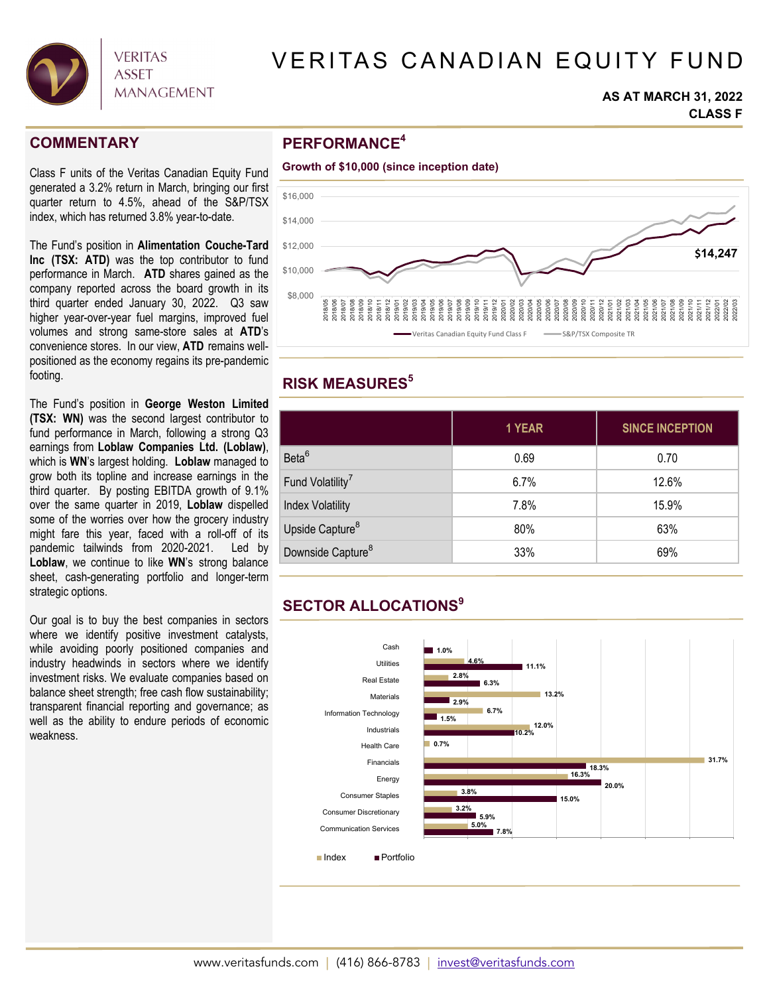

# VERITAS CANADIAN EQUITY FUND

#### **AS AT MARCH 31, 2022 CLASS F**

### **COMMENTARY**

Class F units of the Veritas Canadian Equity Fund generated a 3.2% return in March, bringing our first quarter return to 4.5%, ahead of the S&P/TSX index, which has returned 3.8% year-to-date.

The Fund's position in **Alimentation Couche-Tard Inc (TSX: ATD)** was the top contributor to fund performance in March. **ATD** shares gained as the company reported across the board growth in its third quarter ended January 30, 2022. Q3 saw higher year-over-year fuel margins, improved fuel volumes and strong same-store sales at **ATD**'s convenience stores. In our view, **ATD** remains wellpositioned as the economy regains its pre-pandemic footing.

The Fund's position in **George Weston Limited (TSX: WN)** was the second largest contributor to fund performance in March, following a strong Q3 earnings from **Loblaw Companies Ltd. (Loblaw)**, which is **WN**'s largest holding. **Loblaw** managed to grow both its topline and increase earnings in the third quarter. By posting EBITDA growth of 9.1% over the same quarter in 2019, **Loblaw** dispelled some of the worries over how the grocery industry might fare this year, faced with a roll-off of its pandemic tailwinds from 2020-2021. Led by **Loblaw**, we continue to like **WN**'s strong balance sheet, cash-generating portfolio and longer-term strategic options.

Our goal is to buy the best companies in sectors where we identify positive investment catalysts, while avoiding poorly positioned companies and industry headwinds in sectors where we identify investment risks. We evaluate companies based on balance sheet strength; free cash flow sustainability; transparent financial reporting and governance; as well as the ability to endure periods of economic weakness.

## **PERFORMANCE4**



# **RISK MEASURES5**

|                               | 1 YEAR | <b>SINCE INCEPTION</b> |  |  |
|-------------------------------|--------|------------------------|--|--|
| Beta <sup>6</sup>             | 0.69   | 0.70                   |  |  |
| Fund Volatility <sup>7</sup>  | 6.7%   | 12.6%                  |  |  |
| <b>Index Volatility</b>       | 7.8%   | 15.9%                  |  |  |
| Upside Capture <sup>8</sup>   | 80%    | 63%                    |  |  |
| Downside Capture <sup>8</sup> | 33%    | 69%                    |  |  |

# **SECTOR ALLOCATIONS9**